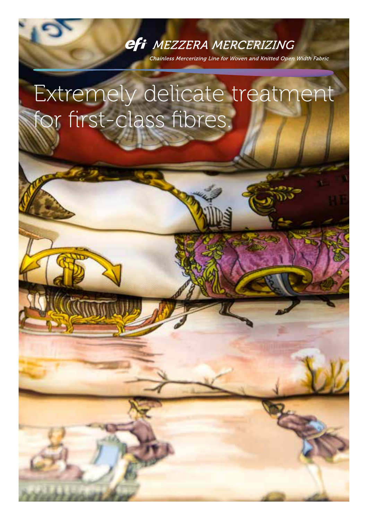### efi MEZZERA MERCERIZING

Chainless Mercerizing Line for Woven and Knitted Open Width Fabric

# Extremely delicate treatment for first-class fibres.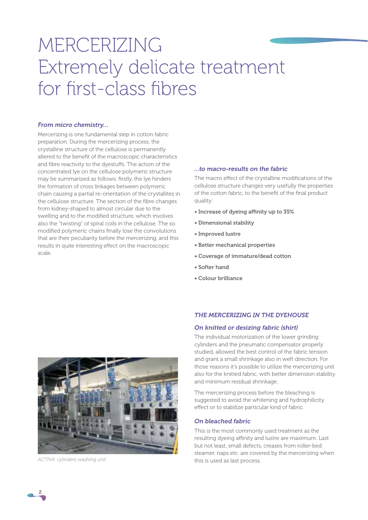## MERCERIZING Extremely delicate treatment for first-class fibres

#### *From micro chemistry…*

Mercerizing is one fundamental step in cotton fabric preparation. During the mercerizing process, the crystalline structure of the cellulose is permanently altered to the benefit of the macroscopic characteristics and fibre reactivity to the dyestuffs. The action of the concentrated lye on the cellulose polymeric structure may be summarized as follows: firstly, the lye hinders the formation of cross linkages between polymeric chain causing a partial re-orientation of the crystallites in the cellulose structure. The section of the fibre changes from kidney-shaped to almost circular due to the swelling and to the modified structure, which involves also the "twisting" of spiral coils in the cellulose. The so modified polymeric chains finally lose the convolutions that are their peculiarity before the mercerizing, and this results in quite interesting effect on the macroscopic scale.

#### *…to macro-results on the fabric*

The macro effect of the crystalline modifications of the cellulose structure changes very usefully the properties of the cotton fabric, to the benefit of the final product quality:

- Increase of dyeing affinity up to 35%
- Dimensional stability
- Improved lustre
- Better mechanical properties
- Coverage of immature/dead cotton
- Softer hand
- Colour brilliance



*ACTIVA: cylinders washing unit*

#### *THE MERCERIZING IN THE DYEHOUSE*

#### *On knitted or desizing fabric (shirt)*

The individual motorization of the lower grinding cylinders and the pneumatic compensator properly studied, allowed the best control of the fabric tension and grant a small shrinkage also in weft direction. For those reasons it's possible to utilize the mercerizing unit also for the knitted fabric, with better dimension stability and minimum residual shrinkage.

The mercerizing process before the bleaching is suggested to avoid the whitening and hydrophilicity effect or to stabilize particular kind of fabric.

#### *On bleached fabric*

This is the most commonly used treatment as the resulting dyeing affinity and lustre are maximum. Last but not least, small defects, creases from roller-bed steamer, naps etc. are covered by the mercerizing when this is used as last process.

2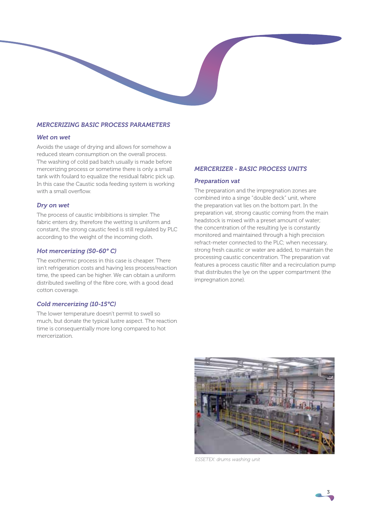#### *MERCERIZING BASIC PROCESS PARAMETERS*

#### *Wet on wet*

Avoids the usage of drying and allows for somehow a reduced steam consumption on the overall process. The washing of cold pad batch usually is made before mercerizing process or sometime there is only a small tank with foulard to equalize the residual fabric pick up. In this case the Caustic soda feeding system is working with a small overflow.

#### *Dry on wet*

The process of caustic imbibitions is simpler. The fabric enters dry, therefore the wetting is uniform and constant, the strong caustic feed is still regulated by PLC according to the weight of the incoming cloth.

#### *Hot mercerizing (50-60° C)*

The exothermic process in this case is cheaper. There isn't refrigeration costs and having less process/reaction time, the speed can be higher. We can obtain a uniform distributed swelling of the fibre core, with a good dead cotton coverage.

#### *Cold mercerizing (10-15°C)*

The lower temperature doesn't permit to swell so much, but donate the typical lustre aspect. The reaction time is consequentially more long compared to hot mercerization.

#### *MERCERIZER - BASIC PROCESS UNITS*

#### *Preparation vat*

The preparation and the impregnation zones are combined into a singe "double deck" unit, where the preparation vat lies on the bottom part. In the preparation vat, strong caustic coming from the main headstock is mixed with a preset amount of water; the concentration of the resulting lye is constantly monitored and maintained through a high precision refract-meter connected to the PLC; when necessary, strong fresh caustic or water are added, to maintain the processing caustic concentration. The preparation vat features a process caustic filter and a recirculation pump that distributes the lye on the upper compartment (the impregnation zone).



*ESSETEX: drums washing unit*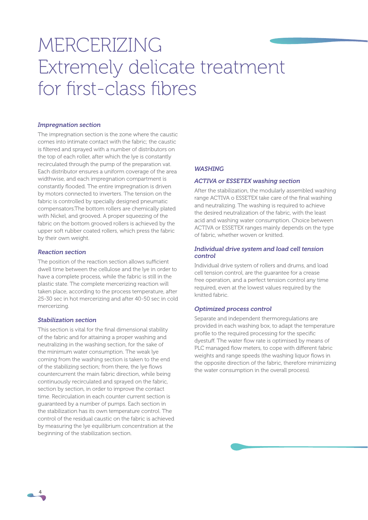## MERCERIZING Extremely delicate treatment for first-class fibres

#### *Impregnation section*

The impregnation section is the zone where the caustic comes into intimate contact with the fabric; the caustic is filtered and sprayed with a number of distributors on the top of each roller, after which the lye is constantly recirculated through the pump of the preparation vat. Each distributor ensures a uniform coverage of the area widthwise, and each impregnation compartment is constantly flooded. The entire impregnation is driven by motors connected to inverters. The tension on the fabric is controlled by specially designed pneumatic compensators.The bottom rollers are chemically plated with Nickel, and grooved. A proper squeezing of the fabric on the bottom grooved rollers is achieved by the upper soft rubber coated rollers, which press the fabric by their own weight.

#### *Reaction section*

The position of the reaction section allows sufficient dwell time between the cellulose and the lye in order to have a complete process, while the fabric is still in the plastic state. The complete mercerizing reaction will taken place, according to the process temperature, after 25-30 sec in hot mercerizing and after 40-50 sec in cold mercerizing.

#### *Stabilization section*

4

This section is vital for the final dimensional stability of the fabric and for attaining a proper washing and neutralizing in the washing section, for the sake of the minimum water consumption. The weak lye coming from the washing section is taken to the end of the stabilizing section; from there, the lye flows countercurrent the main fabric direction, while being continuously recirculated and sprayed on the fabric, section by section, in order to improve the contact time. Recirculation in each counter current section is guaranteed by a number of pumps. Each section in the stabilization has its own temperature control. The control of the residual caustic on the fabric is achieved by measuring the lye equilibrium concentration at the beginning of the stabilization section.

#### *WASHING*

#### *ACTIVA or ESSETEX washing section*

After the stabilization, the modularly assembled washing range ACTIVA o ESSETEX take care of the final washing and neutralizing. The washing is required to achieve the desired neutralization of the fabric, with the least acid and washing water consumption. Choice between ACTIVA or ESSETEX ranges mainly depends on the type of fabric, whether woven or knitted.

#### *Individual drive system and load cell tension control*

Individual drive system of rollers and drums, and load cell tension control, are the guarantee for a crease free operation, and a perfect tension control any time required, even at the lowest values required by the knitted fabric.

#### *Optimized process control*

Separate and independent thermoregulations are provided in each washing box, to adapt the temperature profile to the required processing for the specific dyestuff. The water flow rate is optimised by means of PLC managed flow meters, to cope with different fabric weights and range speeds (the washing liquor flows in the opposite direction of the fabric, therefore minimizing the water consumption in the overall process).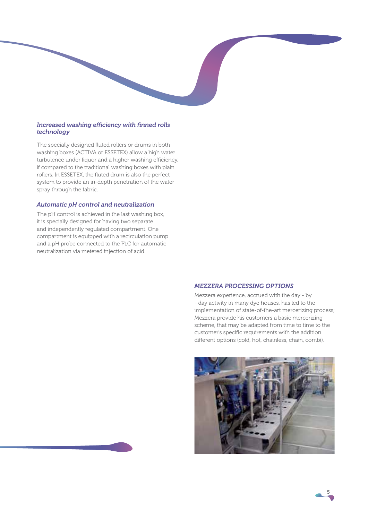#### *Increased washing efficiency with finned rolls technology*

The specially designed fluted rollers or drums in both washing boxes (ACTIVA or ESSETEX) allow a high water turbulence under liquor and a higher washing efficiency, if compared to the traditional washing boxes with plain rollers. In ESSETEX, the fluted drum is also the perfect system to provide an in-depth penetration of the water spray through the fabric.

#### *Automatic pH control and neutralization*

The pH control is achieved in the last washing box, it is specially designed for having two separate and independently regulated compartment. One compartment is equipped with a recirculation pump and a pH probe connected to the PLC for automatic neutralization via metered injection of acid.

#### *MEZZERA PROCESSING OPTIONS*

Mezzera experience, accrued with the day - by - day activity in many dye houses, has led to the implementation of state-of-the-art mercerizing process; Mezzera provide his customers a basic mercerizing scheme, that may be adapted from time to time to the customer's specific requirements with the addition different options (cold, hot, chainless, chain, combi).



5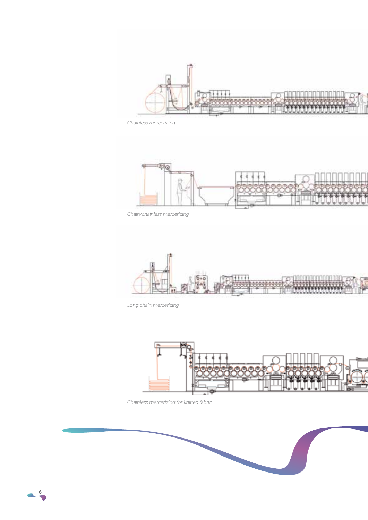

*Chainless mercerizing*



*Chain/chainless mercerizing*



*Long chain mercerizing*



*Chainless mercerizing for knitted fabric*

6

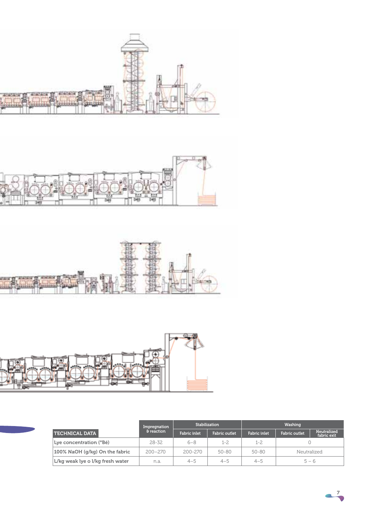







|                                  | Impregnation<br>& reaction | <b>Stabilization</b> |                      | Washing             |                      |                            |
|----------------------------------|----------------------------|----------------------|----------------------|---------------------|----------------------|----------------------------|
| <b>TECHNICAL DATA</b>            |                            | <b>Fabric inlet</b>  | <b>Fabric outlet</b> | <b>Fabric inlet</b> | <b>Fabric outlet</b> | Neutralized<br>fabric exit |
| Lye concentration (°Bé)          | $28 - 32$                  | $6 - 8$              | $1 - 2$              | 1-2                 |                      |                            |
| 100% NaOH (g/kg) On the fabric   | $200 - 270$                | $200 - 270$          | 50-80                | 50-80               | Neutralized          |                            |
| L/kg weak lye o l/kg fresh water | n.a.                       | $4 - 5$              | $4 - 5$              | $4 - 5$             | $5 - 6$              |                            |